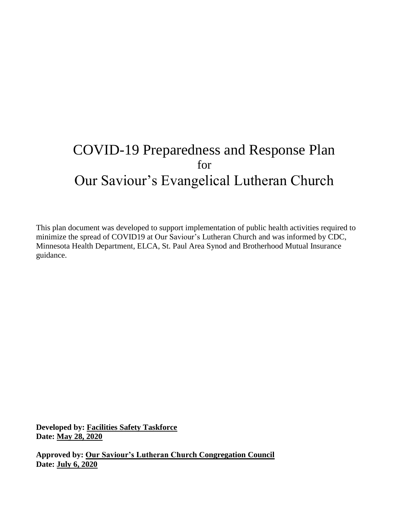# COVID-19 Preparedness and Response Plan for Our Saviour's Evangelical Lutheran Church

This plan document was developed to support implementation of public health activities required to minimize the spread of COVID19 at Our Saviour's Lutheran Church and was informed by CDC, Minnesota Health Department, ELCA, St. Paul Area Synod and Brotherhood Mutual Insurance guidance.

**Developed by: Facilities Safety Taskforce Date: May 28, 2020**

**Approved by: Our Saviour's Lutheran Church Congregation Council Date: July 6, 2020**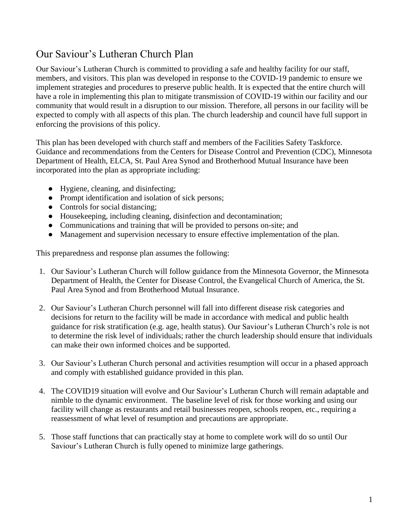## Our Saviour's Lutheran Church Plan

Our Saviour's Lutheran Church is committed to providing a safe and healthy facility for our staff, members, and visitors. This plan was developed in response to the COVID-19 pandemic to ensure we implement strategies and procedures to preserve public health. It is expected that the entire church will have a role in implementing this plan to mitigate transmission of COVID-19 within our facility and our community that would result in a disruption to our mission. Therefore, all persons in our facility will be expected to comply with all aspects of this plan. The church leadership and council have full support in enforcing the provisions of this policy.

This plan has been developed with church staff and members of the Facilities Safety Taskforce. Guidance and recommendations from the Centers for Disease Control and Prevention (CDC), Minnesota Department of Health, ELCA, St. Paul Area Synod and Brotherhood Mutual Insurance have been incorporated into the plan as appropriate including:

- Hygiene, cleaning, and disinfecting;
- Prompt identification and isolation of sick persons;
- Controls for social distancing;
- Housekeeping, including cleaning, disinfection and decontamination;
- Communications and training that will be provided to persons on-site; and
- Management and supervision necessary to ensure effective implementation of the plan.

This preparedness and response plan assumes the following:

- 1. Our Saviour's Lutheran Church will follow guidance from the Minnesota Governor, the Minnesota Department of Health, the Center for Disease Control, the Evangelical Church of America, the St. Paul Area Synod and from Brotherhood Mutual Insurance.
- 2. Our Saviour's Lutheran Church personnel will fall into different disease risk categories and decisions for return to the facility will be made in accordance with medical and public health guidance for risk stratification (e.g. age, health status). Our Saviour's Lutheran Church's role is not to determine the risk level of individuals; rather the church leadership should ensure that individuals can make their own informed choices and be supported.
- 3. Our Saviour's Lutheran Church personal and activities resumption will occur in a phased approach and comply with established guidance provided in this plan.
- 4. The COVID19 situation will evolve and Our Saviour's Lutheran Church will remain adaptable and nimble to the dynamic environment. The baseline level of risk for those working and using our facility will change as restaurants and retail businesses reopen, schools reopen, etc., requiring a reassessment of what level of resumption and precautions are appropriate.
- 5. Those staff functions that can practically stay at home to complete work will do so until Our Saviour's Lutheran Church is fully opened to minimize large gatherings.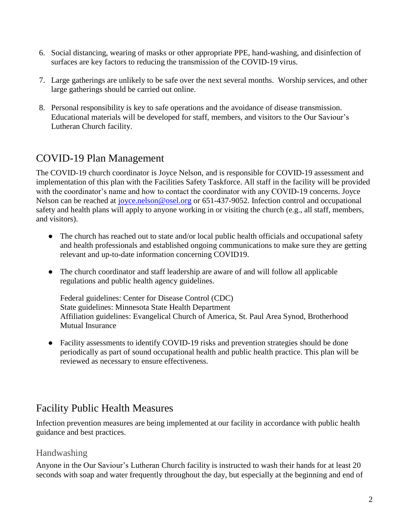- 6. Social distancing, wearing of masks or other appropriate PPE, hand-washing, and disinfection of surfaces are key factors to reducing the transmission of the COVID-19 virus.
- 7. Large gatherings are unlikely to be safe over the next several months. Worship services, and other large gatherings should be carried out online.
- 8. Personal responsibility is key to safe operations and the avoidance of disease transmission. Educational materials will be developed for staff, members, and visitors to the Our Saviour's Lutheran Church facility.

## COVID-19 Plan Management

The COVID-19 church coordinator is Joyce Nelson, and is responsible for COVID-19 assessment and implementation of this plan with the Facilities Safety Taskforce. All staff in the facility will be provided with the coordinator's name and how to contact the coordinator with any COVID-19 concerns. Joyce Nelson can be reached at [joyce.nelson@osel.org](mailto:joyce.nelson@osel.org) or 651-437-9052. Infection control and occupational safety and health plans will apply to anyone working in or visiting the church (e.g., all staff, members, and visitors).

- The church has reached out to state and/or local public health officials and occupational safety and health professionals and established ongoing communications to make sure they are getting relevant and up-to-date information concerning COVID19.
- The church coordinator and staff leadership are aware of and will follow all applicable regulations and public health agency guidelines.

Federal guidelines: Center for Disease Control (CDC) State guidelines: Minnesota State Health Department Affiliation guidelines: Evangelical Church of America, St. Paul Area Synod, Brotherhood Mutual Insurance

• Facility assessments to identify COVID-19 risks and prevention strategies should be done periodically as part of sound occupational health and public health practice. This plan will be reviewed as necessary to ensure effectiveness.

## Facility Public Health Measures

Infection prevention measures are being implemented at our facility in accordance with public health guidance and best practices.

### Handwashing

Anyone in the Our Saviour's Lutheran Church facility is instructed to wash their hands for at least 20 seconds with soap and water frequently throughout the day, but especially at the beginning and end of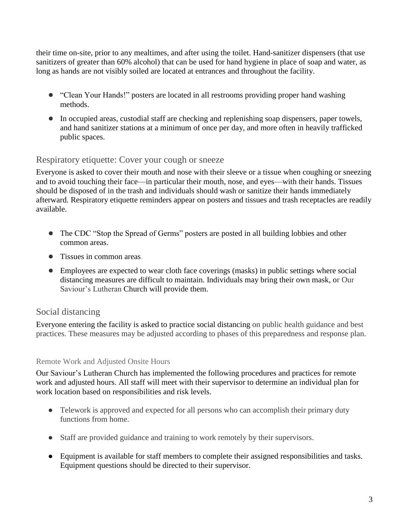their time on-site, prior to any mealtimes, and after using the toilet. Hand-sanitizer dispensers (that use sanitizers of greater than 60% alcohol) that can be used for hand hygiene in place of soap and water, as long as hands are not visibly soiled are located at entrances and throughout the facility.

- "Clean Your Hands!" [posters](https://www.health.state.mn.us/people/handhygiene/how/clean8.html) are located in all restrooms providing proper hand washing methods.
- In occupied areas, custodial staff are checking and replenishing soap dispensers, paper towels, and hand sanitizer stations at a minimum of once per day, and more often in heavily trafficked public spaces.

### Respiratory etiquette: Cover your cough or sneeze

Everyone is asked to [cover their mouth and nose with their sleeve or a tissue](https://www.cdc.gov/coronavirus/2019-ncov/prevent-getting-sick/prevention.html) when coughing or sneezing and to avoid touching their face—in particular their mouth, nose, and eyes—with their hands. Tissues should be disposed of in the trash and individuals should wash or sanitize their hands immediately afterward. Respiratory etiquette reminders appear on posters and tissues and trash receptacles are readily available.

- The [CDC "Stop the Spread of Germs" posters](https://www.cdc.gov/coronavirus/2019-ncov/downloads/stop-the-spread-of-germs.pdf) are posted in all building lobbies and other common areas.
- Tissues in common areas.
- Employees are expected to wear cloth face coverings (masks) in public settings where social distancing measures are difficult to maintain. Individuals may bring their own mask, or Our Saviour's Lutheran Church will provide them.

### Social distancing

Everyone entering the facility is asked to practice social [distancing](https://www.health.state.mn.us/diseases/coronavirus/businesses.html) on public health guidance and best practices. These measures may be adjusted according to phases of this preparedness and response plan.

### Remote Work and Adjusted Onsite Hours

Our Saviour's Lutheran Church has implemented the following procedures and practices for remote work and adjusted hours. All staff will meet with their supervisor to determine an individual plan for work location based on responsibilities and risk levels.

- Telework is approved and expected for all persons who can accomplish their primary duty functions from home.
- Staff are provided guidance and training to work remotely by their supervisors.
- Equipment is available for staff members to complete their assigned responsibilities and tasks. Equipment questions should be directed to their supervisor.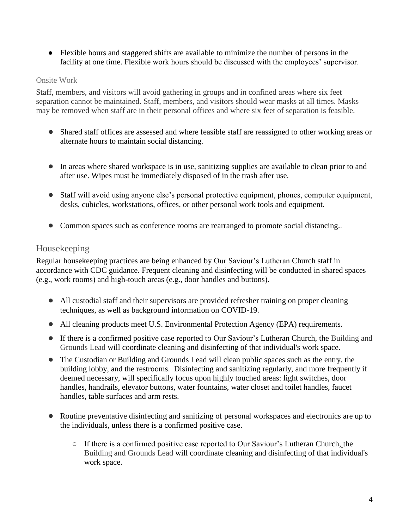● Flexible hours and staggered shifts are available to minimize the number of persons in the facility at one time. Flexible work hours should be discussed with the employees' supervisor.

### Onsite Work

Staff, members, and visitors will avoid gathering in groups and in confined areas where six feet separation cannot be maintained. Staff, members, and visitors should wear masks at all times. Masks may be removed when staff are in their personal offices and where six feet of separation is feasible.

- Shared staff offices are assessed and where feasible staff are reassigned to other working areas or alternate hours to maintain social distancing.
- In areas where shared workspace is in use, sanitizing supplies are available to clean prior to and after use. Wipes must be immediately disposed of in the trash after use.
- Staff will avoid using anyone else's personal protective equipment, phones, computer equipment, desks, cubicles, workstations, offices, or other personal work tools and equipment.
- Common spaces such as conference rooms are rearranged to promote social distancing..

## Housekeeping

Regular housekeeping practices are being enhanced by Our Saviour's Lutheran Church staff in accordance with [CDC guidance.](https://www.cdc.gov/coronavirus/2019-ncov/community/organizations/cleaning-disinfection.html) Frequent cleaning and disinfecting will be conducted in shared spaces (e.g., work rooms) and high-touch areas (e.g., door handles and buttons).

- All custodial staff and their supervisors are provided refresher training on proper cleaning techniques, as well as background information on COVID-19.
- All cleaning products meet U.S. Environmental Protection Agency (EPA) requirements.
- If there is a confirmed positive case reported to Our Saviour's Lutheran Church, [t](https://dehs.umn.edu/)he Building and Grounds Lead will coordinate cleaning and disinfecting of that individual's work space.
- The Custodian or Building and Grounds Lead will clean public spaces such as the entry, the building lobby, and the restrooms. Disinfecting and sanitizing regularly, and more frequently if deemed necessary, will specifically focus upon highly touched areas: light switches, door handles, handrails, elevator buttons, water fountains, water closet and toilet handles, faucet handles, table surfaces and arm rests.
- Routine preventative disinfecting and sanitizing of personal workspaces and electronics are up to the individuals, unless there is a confirmed positive case.
	- If there is a confirmed positive case reported to Our Saviour's Lutheran Church, [t](https://dehs.umn.edu/)he Building and Grounds Lead will coordinate cleaning and disinfecting of that individual's work space.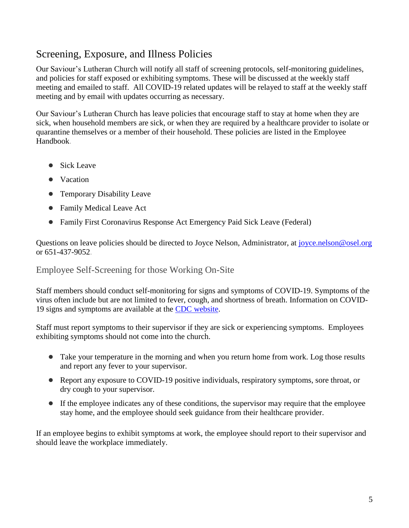## Screening, Exposure, and Illness Policies

Our Saviour's Lutheran Church will notify all staff of screening protocols, self-monitoring guidelines, and policies for staff exposed or exhibiting symptoms. These will be discussed at the weekly staff meeting and emailed to staff. All COVID-19 related updates will be relayed to staff at the weekly staff meeting and by email with updates occurring as necessary.

Our Saviour's Lutheran Church has leave policies that encourage staff to stay at home when they are sick, when household members are sick, or when they are required by a healthcare provider to isolate or quarantine themselves or a member of their household. These policies are listed in the Employee Handbook.

- Sick Leave
- Vacation
- Temporary Disability Leave
- [Family Medical Leave Act](https://policy.umn.edu/hr/fmla)
- [Family First Coronavirus Response Act Emergency Paid Sick Leave](https://drive.google.com/file/d/1_ZlgSxHXYl1T3l4B70wQkGUf_LCj-crO/view) (Federal)

Questions on leave policies should be directed to Joyce Nelson, Administrator, at [joyce.nelson@osel.org](mailto:joyce.nelson@osel.org) or 651-437-9052.

### Employee Self-Screening for those Working On-Site

Staff members should conduct self-monitoring for signs and symptoms of COVID-19. Symptoms of the virus often include but are not limited to fever, cough, and shortness of breath. Information on COVID-19 signs and symptoms are available at the [CDC website.](https://www.cdc.gov/coronavirus/2019-ncov/communication/downloadable-videos.html)

Staff must report symptoms to their supervisor if they are sick or experiencing symptoms. Employees exhibiting symptoms should not come into the church.

- Take your temperature in the morning and when you return home from work. Log those results and report any fever to your supervisor.
- Report any exposure to COVID-19 positive individuals, respiratory symptoms, sore throat, or dry cough to your supervisor.
- If the employee indicates any of these conditions, the supervisor may require that the employee stay home, and the employee should seek guidance from their healthcare provider.

If an employee begins to exhibit symptoms at work, the employee should report to their supervisor and should leave the workplace immediately.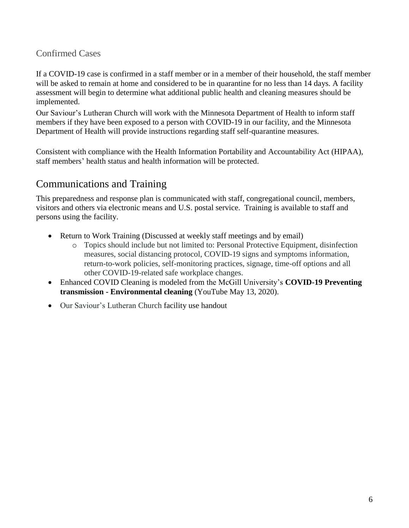## Confirmed Cases

If a COVID-19 case is confirmed in a staff member or in a member of their household, the staff member will be asked to remain at home and considered to be in quarantine for no less than 14 days. A facility assessment will begin to determine what additional public health and cleaning measures should be implemented.

Our Saviour's Lutheran Church will work with the Minnesota Department of Health to inform staff members if they have been exposed to a person with COVID-19 in our facility, and the Minnesota Department of Health will provide instructions regarding staff self-quarantine measures.

Consistent with compliance with the Health Information Portability and Accountability Act (HIPAA), staff members' health status and health information will be protected.

## Communications and Training

This preparedness and response plan is communicated with staff, congregational council, members, visitors and others via electronic means and U.S. postal service. Training is available to staff and persons using the facility.

- Return to Work Training (Discussed at weekly staff meetings and by email)
	- o Topics should include but not limited to: Personal Protective Equipment, disinfection measures, social distancing protocol, COVID-19 signs and symptoms information, return-to-work policies, self-monitoring practices, signage, time-off options and all other COVID-19-related safe workplace changes.
- Enhanced COVID Cleaning is modeled from the McGill University's **COVID-19 Preventing transmission - Environmental cleaning** (YouTube May 13, 2020).
- Our Saviour's Lutheran Church facility use handout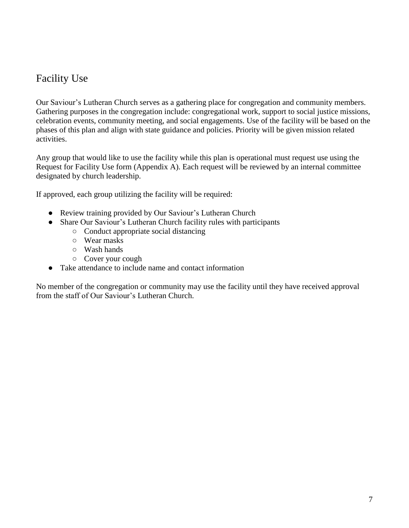## Facility Use

Our Saviour's Lutheran Church serves as a gathering place for congregation and community members. Gathering purposes in the congregation include: congregational work, support to social justice missions, celebration events, community meeting, and social engagements. Use of the facility will be based on the phases of this plan and align with state guidance and policies. [Priority will be given m](http://z.umn.edu/returnrequest)ission related activities.

Any group that would like to use the facility while this plan is operational must request use using the Request for Facility Use form (Appendix A). Each request will be reviewed by an internal committee designated by church leadership.

If approved, each group utilizing the facility will be required:

- Review training provided by Our Saviour's Lutheran Church
- Share Our Saviour's Lutheran Church facility rules with participants
	- Conduct appropriate social distancing
	- Wear masks
	- Wash hands
	- Cover your cough
- Take attendance to include name and contact information

No member of the congregation or community may use the facility until they have received approval from the staff of Our Saviour's Lutheran Church.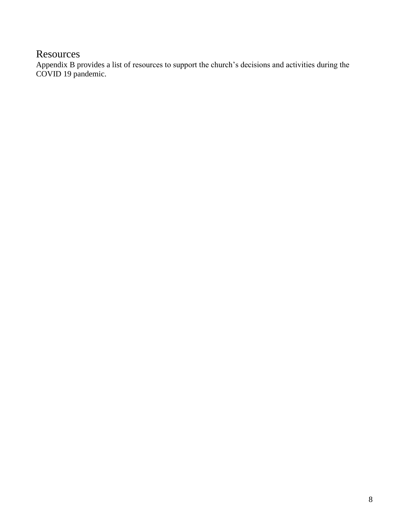## **Resources**

Appendix B provides a list of resources to support the church's decisions and activities during the COVID 19 pandemic.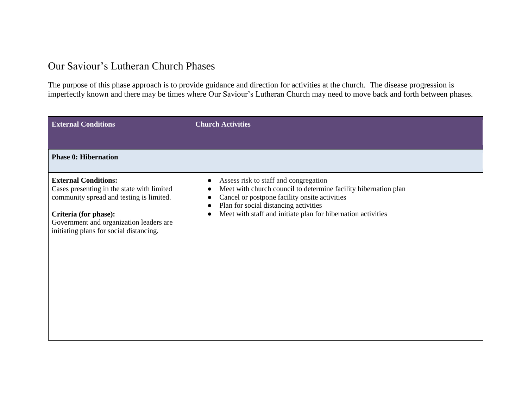## Our Saviour's Lutheran Church Phases

The purpose of this phase approach is to provide guidance and direction for activities at the church. The disease progression is imperfectly known and there may be times where Our Saviour's Lutheran Church may need to move back and forth between phases.

| <b>External Conditions</b>                                                                                                                                                                                                           | <b>Church Activities</b>                                                                                                                                                                                                                                                                                       |  |  |  |
|--------------------------------------------------------------------------------------------------------------------------------------------------------------------------------------------------------------------------------------|----------------------------------------------------------------------------------------------------------------------------------------------------------------------------------------------------------------------------------------------------------------------------------------------------------------|--|--|--|
|                                                                                                                                                                                                                                      |                                                                                                                                                                                                                                                                                                                |  |  |  |
| <b>Phase 0: Hibernation</b>                                                                                                                                                                                                          |                                                                                                                                                                                                                                                                                                                |  |  |  |
| <b>External Conditions:</b><br>Cases presenting in the state with limited<br>community spread and testing is limited.<br>Criteria (for phase):<br>Government and organization leaders are<br>initiating plans for social distancing. | Assess risk to staff and congregation<br>$\bullet$<br>Meet with church council to determine facility hibernation plan<br>€<br>Cancel or postpone facility onsite activities<br>Plan for social distancing activities<br>$\bullet$<br>Meet with staff and initiate plan for hibernation activities<br>$\bullet$ |  |  |  |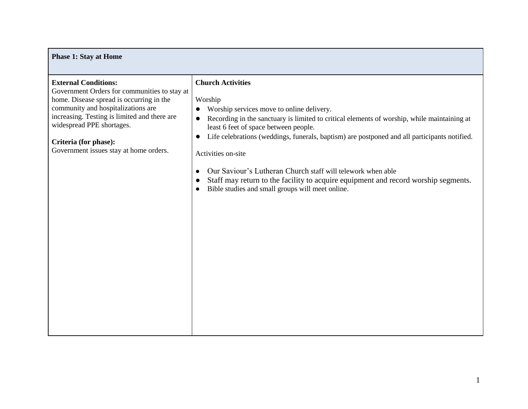| <b>Phase 1: Stay at Home</b>                                                                                                                                                                                                                                                                                  |                                                                                                                                                                                                                                                                                                                                                                                                                                                                                                                                                                                                                                       |  |  |  |  |  |  |
|---------------------------------------------------------------------------------------------------------------------------------------------------------------------------------------------------------------------------------------------------------------------------------------------------------------|---------------------------------------------------------------------------------------------------------------------------------------------------------------------------------------------------------------------------------------------------------------------------------------------------------------------------------------------------------------------------------------------------------------------------------------------------------------------------------------------------------------------------------------------------------------------------------------------------------------------------------------|--|--|--|--|--|--|
| <b>External Conditions:</b><br>Government Orders for communities to stay at<br>home. Disease spread is occurring in the<br>community and hospitalizations are<br>increasing. Testing is limited and there are<br>widespread PPE shortages.<br>Criteria (for phase):<br>Government issues stay at home orders. | <b>Church Activities</b><br>Worship<br>Worship services move to online delivery.<br>$\bullet$<br>Recording in the sanctuary is limited to critical elements of worship, while maintaining at<br>$\bullet$<br>least 6 feet of space between people.<br>Life celebrations (weddings, funerals, baptism) are postponed and all participants notified.<br>$\bullet$<br>Activities on-site<br>Our Saviour's Lutheran Church staff will telework when able<br>$\bullet$<br>Staff may return to the facility to acquire equipment and record worship segments.<br>$\bullet$<br>Bible studies and small groups will meet online.<br>$\bullet$ |  |  |  |  |  |  |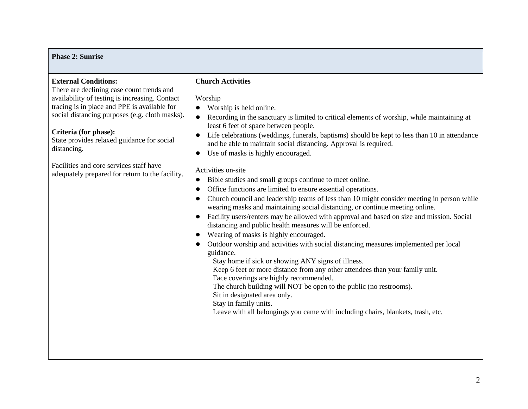#### **Phase 2: Sunrise External Conditions:**  There are declining case count trends and availability of testing is increasing. Contact tracing is in place and PPE is available for social distancing purposes (e.g. cloth masks). **Criteria (for phase):**  State provides relaxed guidance for social distancing. Facilities and core services staff have adequately prepared for return to the facility. **Church Activities** Worship ● Worship is held online. ● Recording in the sanctuary is limited to critical elements of worship, while maintaining at least 6 feet of space between people. ● Life celebrations (weddings, funerals, baptisms) should be kept to less than 10 in attendance and be able to maintain social distancing. Approval is required. ● Use of masks is highly encouraged. Activities on-site ● Bible studies and small groups continue to meet online. ● Office functions are limited to ensure essential operations. ● Church council and leadership teams of less than 10 might consider meeting in person while wearing masks and maintaining social distancing, or continue meeting online. ● Facility users/renters may be allowed with approval and based on size and mission. Social distancing and public health measures will be enforced. ● Wearing of masks is highly encouraged. ● Outdoor worship and activities with social distancing measures implemented per local guidance. Stay home if sick or showing ANY signs of illness. Keep 6 feet or more distance from any other attendees than your family unit. Face coverings are highly recommended. The church building will NOT be open to the public (no restrooms). Sit in designated area only. Stay in family units. Leave with all belongings you came with including chairs, blankets, trash, etc.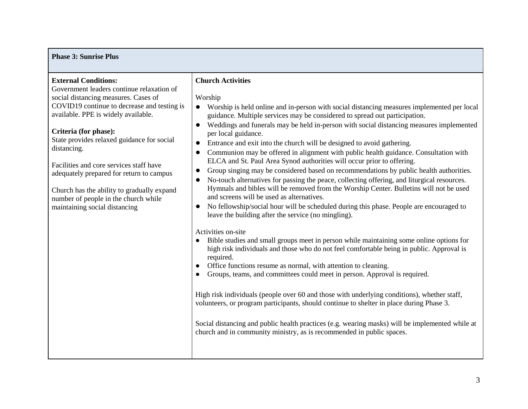#### **Phase 3: Sunrise Plus**

#### **External Conditions:**

Government leaders continue relaxation of social distancing measures. Cases of COVID19 continue to decrease and testing is available. PPE is widely available.

#### **Criteria (for phase):**

State provides relaxed guidance for social distancing.

Facilities and core services staff have adequately prepared for return to campus

Church has the ability to gradually expand number of people in the church while maintaining social distancing

#### **Church Activities**

#### Worship

- Worship is held online and in-person with social distancing measures implemented per local guidance. Multiple services may be considered to spread out participation.
- Weddings and funerals may be held in-person with social distancing measures implemented per local guidance.
- Entrance and exit into the church will be designed to avoid gathering.
- Communion may be offered in alignment with public health guidance. Consultation with ELCA and St. Paul Area Synod authorities will occur prior to offering.
- Group singing may be considered based on recommendations by public health authorities.
- No-touch alternatives for passing the peace, collecting offering, and liturgical resources. Hymnals and bibles will be removed from the Worship Center. Bulletins will not be used and screens will be used as alternatives.
- No fellowship/social hour will be scheduled during this phase. People are encouraged to leave the building after the service (no mingling).

#### Activities on-site

- Bible studies and small groups meet in person while maintaining some online options for high risk individuals and those who do not feel comfortable being in public. Approval is required.
- Office functions resume as normal, with attention to cleaning.
- Groups, teams, and committees could meet in person. Approval is required.

High risk individuals (people over 60 and those with underlying conditions), whether staff, volunteers, or program participants, should continue to shelter in place during Phase 3.

Social distancing and public health practices (e.g. wearing masks) will be implemented while at church and in community ministry, as is recommended in public spaces.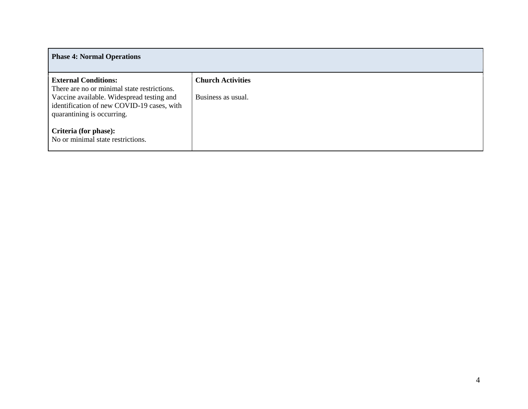| <b>Phase 4: Normal Operations</b>                                                                                                                                                                   |                                                |  |  |  |  |
|-----------------------------------------------------------------------------------------------------------------------------------------------------------------------------------------------------|------------------------------------------------|--|--|--|--|
| <b>External Conditions:</b><br>There are no or minimal state restrictions.<br>Vaccine available. Widespread testing and<br>identification of new COVID-19 cases, with<br>quarantining is occurring. | <b>Church Activities</b><br>Business as usual. |  |  |  |  |
| Criteria (for phase):<br>No or minimal state restrictions.                                                                                                                                          |                                                |  |  |  |  |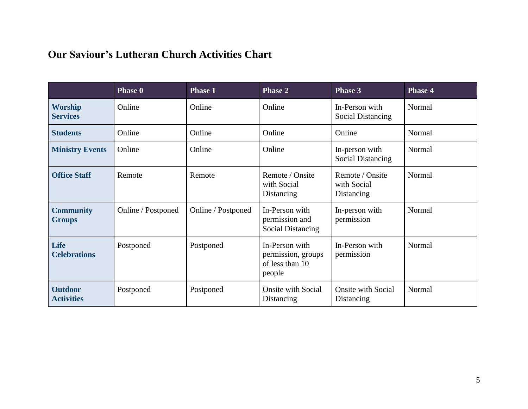## **Our Saviour's Lutheran Church Activities Chart**

|                                     | <b>Phase 0</b>     | <b>Phase 1</b>     | <b>Phase 2</b>                                                    | <b>Phase 3</b>                               | <b>Phase 4</b> |
|-------------------------------------|--------------------|--------------------|-------------------------------------------------------------------|----------------------------------------------|----------------|
| <b>Worship</b><br><b>Services</b>   | Online             | Online             | Online                                                            | In-Person with<br><b>Social Distancing</b>   | Normal         |
| <b>Students</b>                     | Online             | Online             | Online                                                            | Online                                       | Normal         |
| <b>Ministry Events</b>              | Online             | Online             | Online                                                            | In-person with<br><b>Social Distancing</b>   | Normal         |
| <b>Office Staff</b>                 | Remote             | Remote             | Remote / Onsite<br>with Social<br>Distancing                      | Remote / Onsite<br>with Social<br>Distancing | Normal         |
| <b>Community</b><br><b>Groups</b>   | Online / Postponed | Online / Postponed | In-Person with<br>permission and<br><b>Social Distancing</b>      | In-person with<br>permission                 | Normal         |
| <b>Life</b><br><b>Celebrations</b>  | Postponed          | Postponed          | In-Person with<br>permission, groups<br>of less than 10<br>people | In-Person with<br>permission                 | Normal         |
| <b>Outdoor</b><br><b>Activities</b> | Postponed          | Postponed          | <b>Onsite with Social</b><br>Distancing                           | <b>Onsite with Social</b><br>Distancing      | Normal         |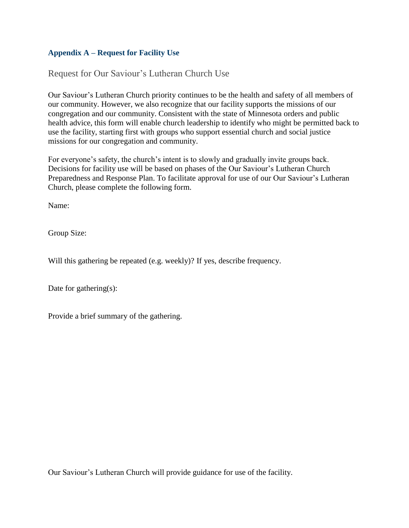### **Appendix A – Request for Facility Use**

### Request for Our Saviour's Lutheran Church Use

Our Saviour's Lutheran Church priority continues to be the health and safety of all members of our community. However, we also recognize that our facility supports the missions of our congregation and our community. Consistent with the state of Minnesota orders and public health advice, this form will enable church leadership to identify who might be permitted back to use the facility, starting first with groups who support essential church and social justice missions for our congregation and community.

For everyone's safety, the church's intent is to slowly and gradually invite groups back. Decisions for facility use will be based on phases of the Our Saviour's Lutheran Church Preparedness and Response Plan. To facilitate approval for use of our Our Saviour's Lutheran Church, please complete the following form.

Name:

Group Size:

Will this gathering be repeated (e.g. weekly)? If yes, describe frequency.

Date for gathering(s):

Provide a brief summary of the gathering.

Our Saviour's Lutheran Church will provide guidance for use of the facility.